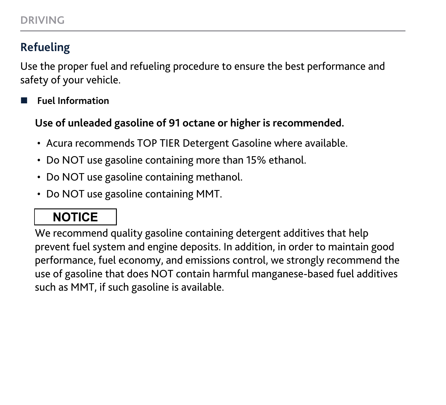### **Refueling**

Use the proper fuel and refueling procedure to ensure the best performance and safety of your vehicle.

n **Fuel Information**

**Use of unleaded gasoline of 91 octane or higher is recommended.**

- Acura recommends TOP TIER Detergent Gasoline where available.
- Do NOT use gasoline containing more than 15% ethanol.
- Do NOT use gasoline containing methanol.
- Do NOT use gasoline containing MMT.

## **NOTICE**

We recommend quality gasoline containing detergent additives that help prevent fuel system and engine deposits. In addition, in order to maintain good performance, fuel economy, and emissions control, we strongly recommend the use of gasoline that does NOT contain harmful manganese-based fuel additives such as MMT, if such gasoline is available.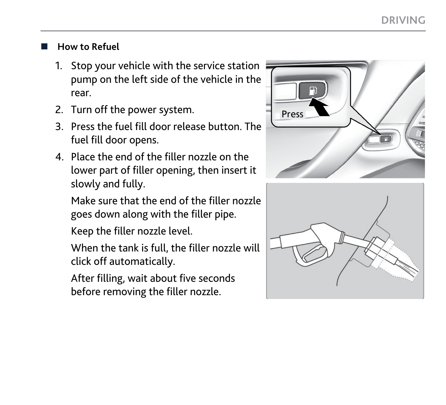#### n **How to Refuel**

- 1. Stop your vehicle with the service station pump on the left side of the vehicle in the rear.
- 2. Turn off the power system.
- 3. Press the fuel fill door release button. The fuel fill door opens.
- 4. Place the end of the filler nozzle on the lower part of filler opening, then insert it slowly and fully.

Make sure that the end of the filler nozzle goes down along with the filler pipe.

Keep the filler nozzle level.

When the tank is full, the filler nozzle will click off automatically.

After filling, wait about five seconds before removing the filler nozzle.



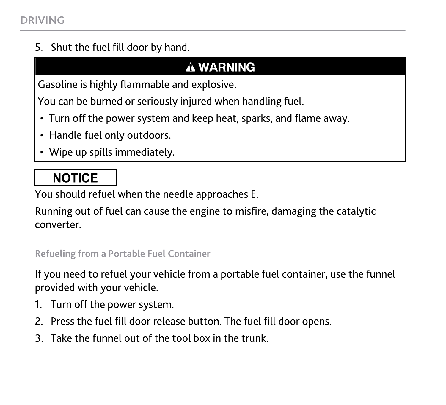5. Shut the fuel fill door by hand.

### **A WARNING**

Gasoline is highly flammable and explosive.

You can be burned or seriously injured when handling fuel.

- Turn off the power system and keep heat, sparks, and flame away.
- Handle fuel only outdoors.
- Wipe up spills immediately.

## **NOTICE**

You should refuel when the needle approaches E.

Running out of fuel can cause the engine to misfire, damaging the catalytic converter.

#### **Refueling from a Portable Fuel Container**

If you need to refuel your vehicle from a portable fuel container, use the funnel provided with your vehicle.

- 1. Turn off the power system.
- 2. Press the fuel fill door release button. The fuel fill door opens.
- 3. Take the funnel out of the tool box in the trunk.